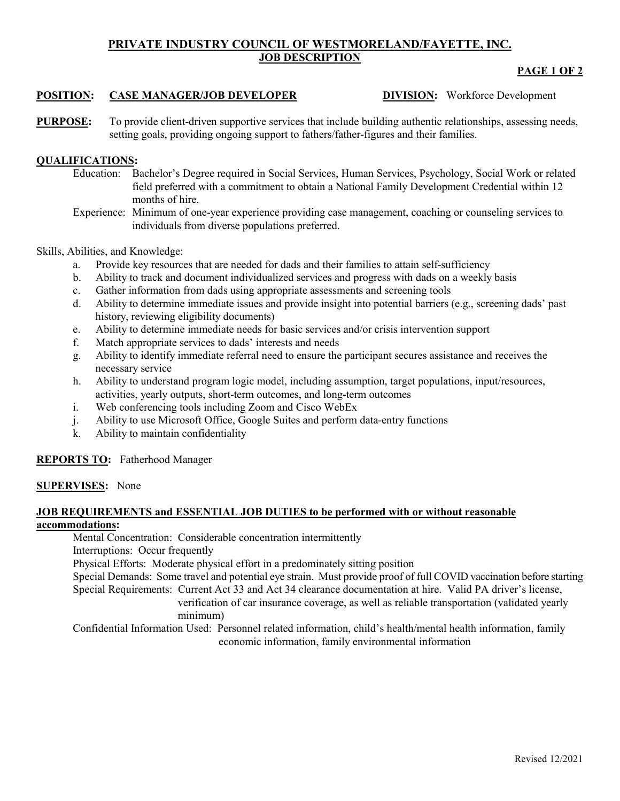# **PRIVATE INDUSTRY COUNCIL OF WESTMORELAND/FAYETTE, INC. JOB DESCRIPTION**

### **PAGE 1 OF 2**

## **POSITION: CASE MANAGER/JOB DEVELOPER DIVISION:** Workforce Development

**PURPOSE:** To provide client-driven supportive services that include building authentic relationships, assessing needs, setting goals, providing ongoing support to fathers/father-figures and their families.

## **QUALIFICATIONS:**

- Education: Bachelor's Degree required in Social Services, Human Services, Psychology, Social Work or related field preferred with a commitment to obtain a National Family Development Credential within 12 months of hire.
- Experience: Minimum of one-year experience providing case management, coaching or counseling services to individuals from diverse populations preferred.

### Skills, Abilities, and Knowledge:

- a. Provide key resources that are needed for dads and their families to attain self-sufficiency
- b. Ability to track and document individualized services and progress with dads on a weekly basis
- c. Gather information from dads using appropriate assessments and screening tools
- d. Ability to determine immediate issues and provide insight into potential barriers (e.g., screening dads' past history, reviewing eligibility documents)
- e. Ability to determine immediate needs for basic services and/or crisis intervention support
- f. Match appropriate services to dads' interests and needs
- g. Ability to identify immediate referral need to ensure the participant secures assistance and receives the necessary service
- h. Ability to understand program logic model, including assumption, target populations, input/resources, activities, yearly outputs, short-term outcomes, and long-term outcomes
- i. Web conferencing tools including Zoom and Cisco WebEx
- j. Ability to use Microsoft Office, Google Suites and perform data-entry functions
- k. Ability to maintain confidentiality

## **REPORTS TO:** Fatherhood Manager

### **SUPERVISES:** None

### **JOB REQUIREMENTS and ESSENTIAL JOB DUTIES to be performed with or without reasonable accommodations:**

Mental Concentration: Considerable concentration intermittently

Interruptions: Occur frequently

Physical Efforts: Moderate physical effort in a predominately sitting position

Special Demands: Some travel and potential eye strain. Must provide proof of full COVID vaccination before starting Special Requirements: Current Act 33 and Act 34 clearance documentation at hire. Valid PA driver's license,

verification of car insurance coverage, as well as reliable transportation (validated yearly minimum)

Confidential Information Used: Personnel related information, child's health/mental health information, family economic information, family environmental information